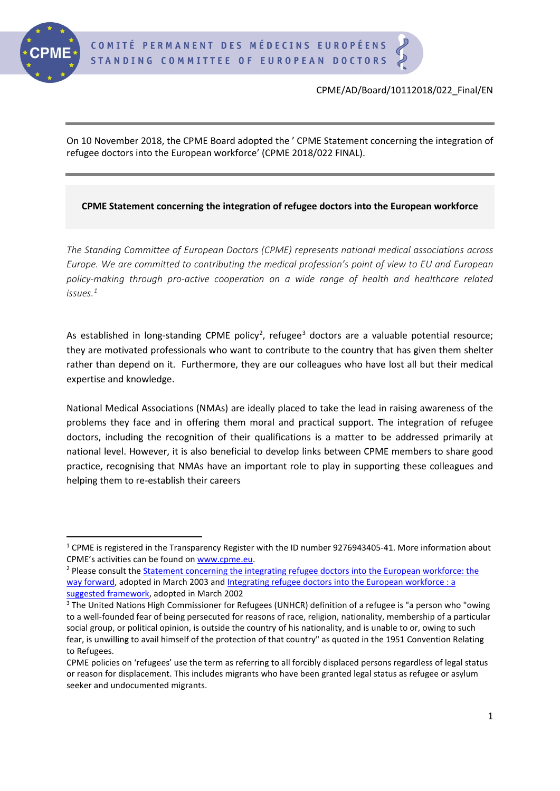

On 10 November 2018, the CPME Board adopted the ' CPME Statement concerning the integration of refugee doctors into the European workforce' (CPME 2018/022 FINAL).

## **CPME Statement concerning the integration of refugee doctors into the European workforce**

*The Standing Committee of European Doctors (CPME) represents national medical associations across Europe. We are committed to contributing the medical profession's point of view to EU and European policy-making through pro-active cooperation on a wide range of health and healthcare related issues.[1](#page-0-0)*

As established in long-standing CPME policy<sup>[2](#page-0-1)</sup>, refugee<sup>[3](#page-0-2)</sup> doctors are a valuable potential resource; they are motivated professionals who want to contribute to the country that has given them shelter rather than depend on it. Furthermore, they are our colleagues who have lost all but their medical expertise and knowledge.

National Medical Associations (NMAs) are ideally placed to take the lead in raising awareness of the problems they face and in offering them moral and practical support. The integration of refugee doctors, including the recognition of their qualifications is a matter to be addressed primarily at national level. However, it is also beneficial to develop links between CPME members to share good practice, recognising that NMAs have an important role to play in supporting these colleagues and helping them to re-establish their careers

<span id="page-0-0"></span> <sup>1</sup> CPME is registered in the Transparency Register with the ID number 9276943405-41. More information about CPME's activities can be found on www.cpme.eu.

<span id="page-0-1"></span><sup>&</sup>lt;sup>2</sup> Please consult the **Statement concerning the integrating refugee doctors into the European workforce: the** [way forward,](https://www.cpme.eu/statement-concerning-the-integrating-refugee-doctors-into-the-european-workforce-the-way-forward-d%c3%a9claration-concernant-lint%c3%a9gration-des-m%c3%a9decins-r%c3%a9fugi%c3%a9s-dans-la-main-do/) adopted in March 2003 an[d Integrating refugee doctors into the European workforce : a](http://doc.cpme.eu:591/adopted/CPME_AD_Brd_160302_2_EN_fr.pdf)  [suggested framework,](http://doc.cpme.eu:591/adopted/CPME_AD_Brd_160302_2_EN_fr.pdf) adopted in March 2002

<span id="page-0-2"></span><sup>&</sup>lt;sup>3</sup> The United Nations High Commissioner for Refugees (UNHCR) definition of a refugee is "a person who "owing to a well-founded fear of being persecuted for reasons of race, religion, nationality, membership of a particular social group, or political opinion, is outside the country of his nationality, and is unable to or, owing to such fear, is unwilling to avail himself of the protection of that country" as quoted in the 1951 Convention Relating to Refugees.

CPME policies on 'refugees' use the term as referring to all forcibly displaced persons regardless of legal status or reason for displacement. This includes migrants who have been granted legal status as refugee or asylum seeker and undocumented migrants.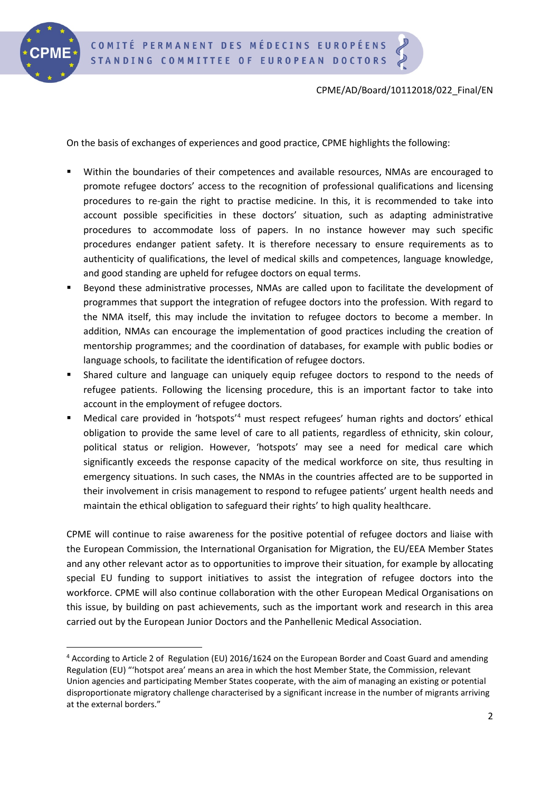

## CPME/AD/Board/10112018/022\_Final/EN

On the basis of exchanges of experiences and good practice, CPME highlights the following:

- Within the boundaries of their competences and available resources, NMAs are encouraged to promote refugee doctors' access to the recognition of professional qualifications and licensing procedures to re-gain the right to practise medicine. In this, it is recommended to take into account possible specificities in these doctors' situation, such as adapting administrative procedures to accommodate loss of papers. In no instance however may such specific procedures endanger patient safety. It is therefore necessary to ensure requirements as to authenticity of qualifications, the level of medical skills and competences, language knowledge, and good standing are upheld for refugee doctors on equal terms.
- Beyond these administrative processes, NMAs are called upon to facilitate the development of programmes that support the integration of refugee doctors into the profession. With regard to the NMA itself, this may include the invitation to refugee doctors to become a member. In addition, NMAs can encourage the implementation of good practices including the creation of mentorship programmes; and the coordination of databases, for example with public bodies or language schools, to facilitate the identification of refugee doctors.
- Shared culture and language can uniquely equip refugee doctors to respond to the needs of refugee patients. Following the licensing procedure, this is an important factor to take into account in the employment of refugee doctors.
- Medical care provided in 'hotspots'<sup>[4](#page-1-0)</sup> must respect refugees' human rights and doctors' ethical obligation to provide the same level of care to all patients, regardless of ethnicity, skin colour, political status or religion. However, 'hotspots' may see a need for medical care which significantly exceeds the response capacity of the medical workforce on site, thus resulting in emergency situations. In such cases, the NMAs in the countries affected are to be supported in their involvement in crisis management to respond to refugee patients' urgent health needs and maintain the ethical obligation to safeguard their rights' to high quality healthcare.

CPME will continue to raise awareness for the positive potential of refugee doctors and liaise with the European Commission, the International Organisation for Migration, the EU/EEA Member States and any other relevant actor as to opportunities to improve their situation, for example by allocating special EU funding to support initiatives to assist the integration of refugee doctors into the workforce. CPME will also continue collaboration with the other European Medical Organisations on this issue, by building on past achievements, such as the important work and research in this area carried out by the European Junior Doctors and the Panhellenic Medical Association.

<span id="page-1-0"></span> <sup>4</sup> According to Article 2 of Regulation (EU) 2016/1624 on the European Border and Coast Guard and amending Regulation (EU) "'hotspot area' means an area in which the host Member State, the Commission, relevant Union agencies and participating Member States cooperate, with the aim of managing an existing or potential disproportionate migratory challenge characterised by a significant increase in the number of migrants arriving at the external borders."